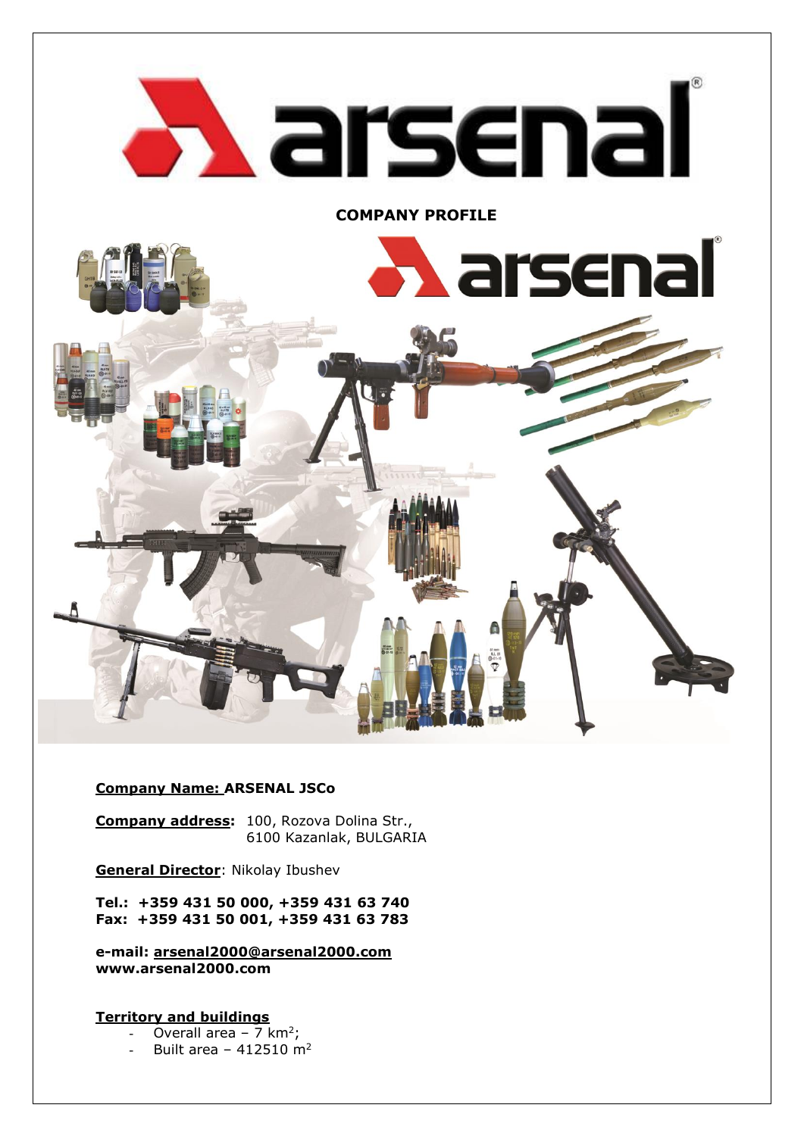

## **Company Name: ARSENAL JSCo**

**Company address:** 100, Rozova Dolina Str., 6100 Kazanlak, BULGARIA

**General Director**: Nikolay Ibushev

**Tel.: +359 431 50 000, +359 431 63 740 Fax: +359 431 50 001, +359 431 63 783**

**e-mail: [arsenal2000@arsenal2000.com](mailto:arsenal2000@arsenal2000.com) www.arsenal2000.com**

**Territory and buildings**

- Overall area 7 km<sup>2</sup>;
- Built area  $412510 \text{ m}^2$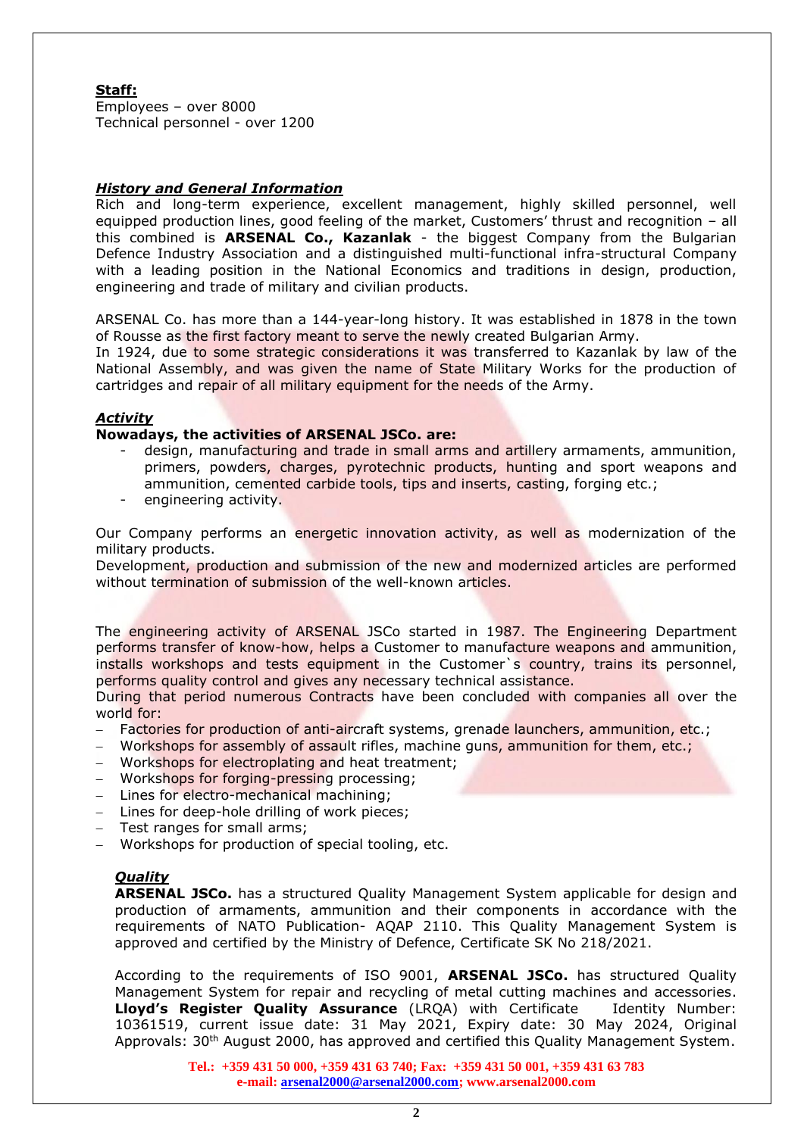## **Staff:**

Employees – over 8000 Technical personnel - over 1200

### *History and General Information*

Rich and long-term experience, excellent management, highly skilled personnel, well equipped production lines, good feeling of the market, Customers' thrust and recognition – all this combined is **ARSENAL Co., Kazanlak** - the biggest Company from the Bulgarian Defence Industry Association and a distinguished multi-functional infra-structural Company with a leading position in the National Economics and traditions in design, production, engineering and trade of military and civilian products.

ARSENAL Co. has more than a 144-year-long history. It was established in 1878 in the town of Rousse as the first factory meant to serve the newly created Bulgarian Army.

In 1924, due to some strategic considerations it was transferred to Kazanlak by law of the National Assembly, and was given the name of State Military Works for the production of cartridges and repair of all military equipment for the needs of the Army.

### *Activity*

#### **Nowadays, the activities of ARSENAL JSCo. are:**

- design, manufacturing and trade in small arms and artillery armaments, ammunition, primers, powders, charges, pyrotechnic products, hunting and sport weapons and ammunition, cemented carbide tools, tips and inserts, casting, forging etc.;
- engineering activity.

Our Company performs an energetic innovation activity, as well as modernization of the military products.

Development, production and submission of the new and modernized articles are performed without termination of submission of the well-known articles.

The engineering activity of ARSENAL JSCo started in 1987. The Engineering Department performs transfer of know-how, helps a Customer to manufacture weapons and ammunition, installs workshops and tests equipment in the Customer`s country, trains its personnel, performs quality control and gives any necessary technical assistance.

During that period numerous Contracts have been concluded with companies all over the world for:

- Factories for production of anti-aircraft systems, grenade launchers, ammunition, etc.;
- Workshops for assembly of assault rifles, machine guns, ammunition for them, etc.;
- − Workshops for electroplating and heat treatment;
- − Workshops for forging-pressing processing;
- − Lines for electro-mechanical machining;
- − Lines for deep-hole drilling of work pieces;
- − Test ranges for small arms;
- − Workshops for production of special tooling, etc.

## *Quality*

**ARSENAL JSCo.** has a structured Quality Management System applicable for design and production of armaments, ammunition and their components in accordance with the requirements of NATO Publication- AQAP 2110. This Quality Management System is approved and certified by the Ministry of Defence, Certificate SK No 218/2021.

According to the requirements of ISO 9001, **ARSENAL JSCo.** has structured Quality Management System for repair and recycling of metal cutting machines and accessories. **Lloyd's Register Quality Assurance** (LRQA) with Certificate Identity Number: 10361519, current issue date: 31 May 2021, Expiry date: 30 May 2024, Original Approvals: 30<sup>th</sup> August 2000, has approved and certified this Quality Management System.

> **Tel.: +359 431 50 000, +359 431 63 740; Fax: +359 431 50 001, +359 431 63 783 e-mail: [arsenal2000@arsenal2000.com;](mailto:arsenal2000@arsenal2000.com) www.arsenal2000.com**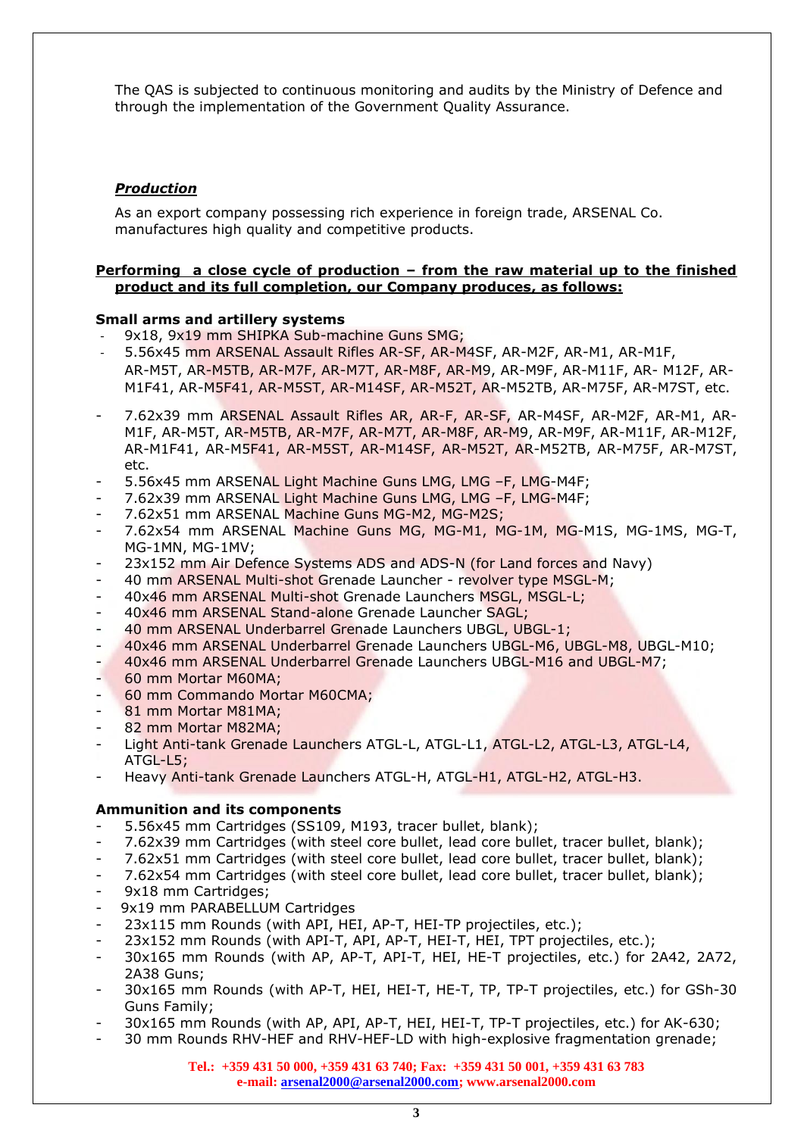The QAS is subjected to continuous monitoring and audits by the Ministry of Defence and through the implementation of the Government Quality Assurance.

# *Production*

As an export company possessing rich experience in foreign trade, ARSENAL Co. manufactures high quality and competitive products.

#### **Performing a close cycle of production – from the raw material up to the finished product and its full completion, our Company produces, as follows:**

### **Small arms and artillery systems**

- 9x18, 9x19 mm SHIPKA Sub-machine Guns SMG;
- 5.56x45 mm ARSENAL Assault Rifles AR-SF, AR-M4SF, AR-M2F, AR-M1, AR-M1F, AR-M5T, AR-M5TB, AR-M7F, AR-M7T, AR-M8F, AR-M9, AR-M9F, AR-M11F, AR- M12F, AR-M1F41, AR-M5F41, AR-M5ST, AR-M14SF, AR-M52T, AR-M52TB, AR-M75F, AR-M7ST, etc.
- 7.62x39 mm ARSENAL Assault Rifles AR, AR-F, AR-SF, AR-M4SF, AR-M2F, AR-M1, AR-M1F, AR-M5T, AR-M5TB, AR-M7F, AR-M7T, AR-M8F, AR-M9, AR-M9F, AR-M11F, AR-M12F, AR-M1F41, AR-M5F41, AR-M5ST, AR-M14SF, AR-M52T, AR-M52TB, AR-M75F, AR-M7ST, etc.
- 5.56x45 mm ARSENAL Light Machine Guns LMG, LMG –F, LMG-M4F;
- 7.62x39 mm ARSENAL Light Machine Guns LMG, LMG –F, LMG-M4F;
- 7.62x51 mm ARSENAL Machine Guns MG-M2, MG-M2S;
- 7.62x54 mm ARSENAL Machine Guns MG, MG-M1, MG-1M, MG-M1S, MG-1MS, MG-T, MG-1MN, MG-1MV;
- 23x152 mm Air Defence Systems ADS and ADS-N (for Land forces and Navy)
- 40 mm ARSENAL Multi-shot Grenade Launcher revolver type MSGL-M;
- 40x46 mm ARSENAL Multi-shot Grenade Launchers MSGL, MSGL-L;
- 40x46 mm ARSENAL Stand-alone Grenade Launcher SAGL;
- 40 mm ARSENAL Underbarrel Grenade Launchers UBGL, UBGL-1;
- 40x46 mm ARSENAL Underbarrel Grenade Launchers UBGL-M6, UBGL-M8, UBGL-M10;
- 40x46 mm ARSENAL Underbarrel Grenade Launchers UBGL-M16 and UBGL-M7;
- 60 mm Mortar M60MA;
- 60 mm Commando Mortar M60CMA;
- 81 mm Mortar M81MA;
- 82 mm Mortar M82MA;
- Light Anti-tank Grenade Launchers ATGL-L, ATGL-L1, ATGL-L2, ATGL-L3, ATGL-L4, ATGL-L5;
- Heavy Anti-tank Grenade Launchers ATGL-H, ATGL-H1, ATGL-H2, ATGL-H3.

#### **Ammunition and its components**

- 5.56x45 mm Cartridges (SS109, M193, tracer bullet, blank);
- 7.62x39 mm Cartridges (with steel core bullet, lead core bullet, tracer bullet, blank);
- 7.62x51 mm Cartridges (with steel core bullet, lead core bullet, tracer bullet, blank);
- 7.62x54 mm Cartridges (with steel core bullet, lead core bullet, tracer bullet, blank);
- 9x18 mm Cartridges;
- 9x19 mm PARABELLUM Cartridges
- 23x115 mm Rounds (with API, HEI, AP-T, HEI-TP projectiles, etc.);
- 23x152 mm Rounds (with API-T, API, AP-T, HEI-T, HEI, TPT projectiles, etc.);
- 30x165 mm Rounds (with AP, AP-T, API-T, HEI, HE-T projectiles, etc.) for 2A42, 2A72, 2A38 Guns;
- 30x165 mm Rounds (with AP-T, HEI, HEI-T, HE-T, TP, TP-T projectiles, etc.) for GSh-30 Guns Family;
- 30x165 mm Rounds (with AP, API, AP-T, HEI, HEI-T, TP-T projectiles, etc.) for AK-630;
- 30 mm Rounds RHV-HEF and RHV-HEF-LD with high-explosive fragmentation grenade;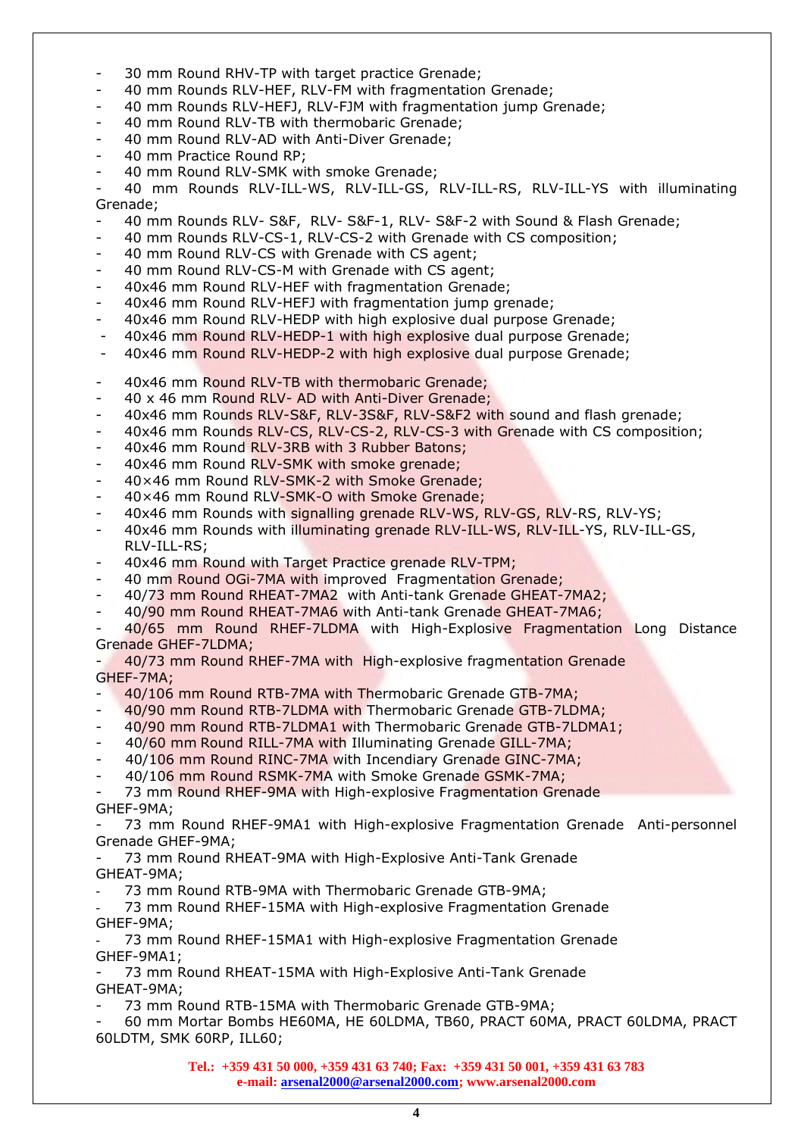- 30 mm Round RHV-TP with target practice Grenade;
- 40 mm Rounds RLV-HEF, RLV-FM with fragmentation Grenade;
- 40 mm Rounds RLV-HEFJ, RLV-FJM with fragmentation jump Grenade;
- 40 mm Round RLV-TB with thermobaric Grenade;
- 40 mm Round RLV-AD with Anti-Diver Grenade;
- 40 mm Practice Round RP;
- 40 mm Round RLV-SMK with smoke Grenade;
- 40 mm Rounds RLV-ILL-WS, RLV-ILL-GS, RLV-ILL-RS, RLV-ILL-YS with illuminating Grenade;
- 40 mm Rounds RLV- S&F, RLV- S&F-1, RLV- S&F-2 with Sound & Flash Grenade;
- 40 mm Rounds RLV-CS-1, RLV-CS-2 with Grenade with CS composition;
- 40 mm Round RLV-CS with Grenade with CS agent;
- 40 mm Round RLV-CS-M with Grenade with CS agent;
- 40x46 mm Round RLV-HEF with fragmentation Grenade;
- 40x46 mm Round RLV-HEFJ with fragmentation jump grenade;
- 40x46 mm Round RLV-HEDP with high explosive dual purpose Grenade;
- 40x46 mm Round RLV-HEDP-1 with high explosive dual purpose Grenade;
- 40x46 mm Round RLV-HEDP-2 with high explosive dual purpose Grenade;
- 40x46 mm Round RLV-TB with thermobaric Grenade;
- 40 x 46 mm Round RLV- AD with Anti-Diver Grenade;
- 40x46 mm Rounds RLV-S&F, RLV-3S&F, RLV-S&F2 with sound and flash grenade;
- 40x46 mm Rounds RLV-CS, RLV-CS-2, RLV-CS-3 with Grenade with CS composition;
- 40x46 mm Round RLV-3RB with 3 Rubber Batons;
- 40x46 mm Round RLV-SMK with smoke grenade;
- 40×46 mm Round RLV-SMK-2 with Smoke Grenade;
- 40×46 mm Round RLV-SMK-O with Smoke Grenade;
- 40x46 mm Rounds with signalling grenade RLV-WS, RLV-GS, RLV-RS, RLV-YS;
- 40x46 mm Rounds with illuminating grenade RLV-ILL-WS, RLV-ILL-YS, RLV-ILL-GS, RLV-ILL-RS;
- 40x46 mm Round with Target Practice grenade RLV-TPM;
- 40 mm Round OGi-7MA with improved Fragmentation Grenade;
- 40/73 mm Round RHEAT-7MA2 with Anti-tank Grenade GHEAT-7MA2;
- 40/90 mm Round RHEAT-7MA6 with Anti-tank Grenade GHEAT-7MA6;

- 40/65 mm Round RHEF-7LDMA with High-Explosive Fragmentation Long Distance Grenade GHEF-7LDMA;

- 40/73 mm Round RHEF-7MA with High-explosive fragmentation Grenade GHEF-7MA;

- 40/106 mm Round RTB-7MA with Thermobaric Grenade GTB-7MA;
- 40/90 mm Round RTB-7LDMA with Thermobaric Grenade GTB-7LDMA;
- 40/90 mm Round RTB-7LDMA1 with Thermobaric Grenade GTB-7LDMA1;
- 40/60 mm Round RILL-7MA with Illuminating Grenade GILL-7MA;
- 40/106 mm Round RINC-7MA with Incendiary Grenade GINC-7MA;
- 40/106 mm Round RSMK-7MA with Smoke Grenade GSMK-7MA;

- 73 mm Round RHEF-9MA with High-explosive Fragmentation Grenade GHEF-9MA;

- 73 mm Round RHEF-9MA1 with High-explosive Fragmentation Grenade Anti-personnel Grenade GHEF-9MA;

73 mm Round RHEAT-9MA with High-Explosive Anti-Tank Grenade GHEAT-9MA;

73 mm Round RTB-9MA with Thermobaric Grenade GTB-9MA;

- 73 mm Round RHEF-15MA with High-explosive Fragmentation Grenade GHEF-9MA;

- 73 mm Round RHEF-15MA1 with High-explosive Fragmentation Grenade GHEF-9MA1;

- 73 mm Round RHEAT-15MA with High-Explosive Anti-Tank Grenade GHEAT-9MA;

73 mm Round RTB-15MA with Thermobaric Grenade GTB-9MA;

- 60 mm Mortar Bombs HE60MA, HE 60LDMA, TB60, PRACT 60MA, PRACT 60LDMA, PRACT 60LDTM, SMK 60RP, ILL60;

> **Tel.: +359 431 50 000, +359 431 63 740; Fax: +359 431 50 001, +359 431 63 783 e-mail: [arsenal2000@arsenal2000.com;](mailto:arsenal2000@arsenal2000.com) www.arsenal2000.com**